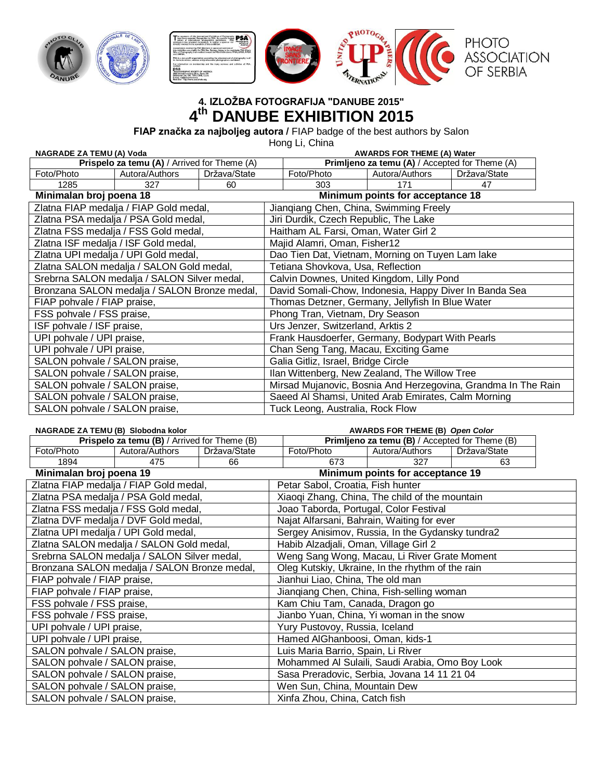

# **4. IZLOŽBA FOTOGRAFIJA "DANUBE 2015" 4 th DANUBE EXHIBITION 2015**

**FIAP značka za najboljeg autora /** FIAP badge of the best authors by Salon

Hong Li, China

| <b>NAGRADE ZA TEMU (A) Voda</b>              |                                              |              | <b>AWARDS FOR THEME (A) Water</b>                             |                                                        |                                          |              |  |
|----------------------------------------------|----------------------------------------------|--------------|---------------------------------------------------------------|--------------------------------------------------------|------------------------------------------|--------------|--|
| Prispelo za temu (A) / Arrived for Theme (A) |                                              |              |                                                               | Primljeno za temu (A) / Accepted for Theme (A)         |                                          |              |  |
| Foto/Photo                                   | Autora/Authors                               | Država/State |                                                               | Foto/Photo                                             | Autora/Authors                           | Država/State |  |
| 1285                                         | 327                                          | 60           |                                                               | 303                                                    | 171                                      | 47           |  |
| Minimalan broj poena 18                      |                                              |              |                                                               |                                                        | Minimum points for acceptance 18         |              |  |
|                                              | Zlatna FIAP medalja / FIAP Gold medal,       |              |                                                               | Jiangiang Chen, China, Swimming Freely                 |                                          |              |  |
|                                              | Zlatna PSA medalja / PSA Gold medal,         |              |                                                               | Jiri Durdik, Czech Republic, The Lake                  |                                          |              |  |
|                                              | Zlatna FSS medalja / FSS Gold medal,         |              |                                                               | Haitham AL Farsi, Oman, Water Girl 2                   |                                          |              |  |
|                                              | Zlatna ISF medalja / ISF Gold medal,         |              |                                                               | Majid Alamri, Oman, Fisher12                           |                                          |              |  |
|                                              | Zlatna UPI medalja / UPI Gold medal,         |              |                                                               | Dao Tien Dat, Vietnam, Morning on Tuyen Lam lake       |                                          |              |  |
|                                              | Zlatna SALON medalja / SALON Gold medal,     |              |                                                               | Tetiana Shovkova, Usa, Reflection                      |                                          |              |  |
|                                              | Srebrna SALON medalja / SALON Silver medal,  |              | Calvin Downes, United Kingdom, Lilly Pond                     |                                                        |                                          |              |  |
|                                              | Bronzana SALON medalja / SALON Bronze medal, |              |                                                               | David Somali-Chow, Indonesia, Happy Diver In Banda Sea |                                          |              |  |
| FIAP pohvale / FIAP praise,                  |                                              |              |                                                               | Thomas Detzner, Germany, Jellyfish In Blue Water       |                                          |              |  |
| FSS pohvale / FSS praise,                    |                                              |              |                                                               | Phong Tran, Vietnam, Dry Season                        |                                          |              |  |
| ISF pohvale / ISF praise,                    |                                              |              |                                                               | Urs Jenzer, Switzerland, Arktis 2                      |                                          |              |  |
| UPI pohvale / UPI praise,                    |                                              |              |                                                               | Frank Hausdoerfer, Germany, Bodypart With Pearls       |                                          |              |  |
| UPI pohvale / UPI praise,                    |                                              |              |                                                               | Chan Seng Tang, Macau, Exciting Game                   |                                          |              |  |
| SALON pohvale / SALON praise,                |                                              |              |                                                               | Galia Gitliz, Israel, Bridge Circle                    |                                          |              |  |
| SALON pohvale / SALON praise,                |                                              |              | Ilan Wittenberg, New Zealand, The Willow Tree                 |                                                        |                                          |              |  |
| SALON pohvale / SALON praise,                |                                              |              | Mirsad Mujanovic, Bosnia And Herzegovina, Grandma In The Rain |                                                        |                                          |              |  |
| SALON pohvale / SALON praise,                |                                              |              | Saeed Al Shamsi, United Arab Emirates, Calm Morning           |                                                        |                                          |              |  |
| SALON pohvale / SALON praise,                |                                              |              | Tuck Leong, Australia, Rock Flow                              |                                                        |                                          |              |  |
| NACDADE ZA TEMILION Clabadha Italar          |                                              |              |                                                               |                                                        | $\lambda$ WADDC FOD TUEME (D) Onen Calcu |              |  |

| NAGRADE ZA TEMU (B) Slobodna kolor           |                                              |              | <b>AWARDS FOR THEME (B) Open Color</b>           |                                                |              |  |
|----------------------------------------------|----------------------------------------------|--------------|--------------------------------------------------|------------------------------------------------|--------------|--|
| Prispelo za temu (B) / Arrived for Theme (B) |                                              |              |                                                  | Primljeno za temu (B) / Accepted for Theme (B) |              |  |
| Foto/Photo                                   | Autora/Authors                               | Država/State | Foto/Photo                                       | Autora/Authors                                 | Država/State |  |
| 1894                                         | 475                                          | 66           | 673                                              | 327                                            | 63           |  |
| Minimalan broj poena 19                      |                                              |              |                                                  | Minimum points for acceptance 19               |              |  |
|                                              | Zlatna FIAP medalja / FIAP Gold medal,       |              | Petar Sabol, Croatia, Fish hunter                |                                                |              |  |
|                                              | Zlatna PSA medalja / PSA Gold medal,         |              | Xiaoqi Zhang, China, The child of the mountain   |                                                |              |  |
|                                              | Zlatna FSS medalja / FSS Gold medal,         |              | Joao Taborda, Portugal, Color Festival           |                                                |              |  |
|                                              | Zlatna DVF medalja / DVF Gold medal,         |              | Najat Alfarsani, Bahrain, Waiting for ever       |                                                |              |  |
|                                              | Zlatna UPI medalja / UPI Gold medal,         |              | Sergey Anisimov, Russia, In the Gydansky tundra2 |                                                |              |  |
|                                              | Zlatna SALON medalja / SALON Gold medal,     |              | Habib Alzadjali, Oman, Village Girl 2            |                                                |              |  |
|                                              | Srebrna SALON medalja / SALON Silver medal,  |              | Weng Sang Wong, Macau, Li River Grate Moment     |                                                |              |  |
|                                              | Bronzana SALON medalja / SALON Bronze medal, |              | Oleg Kutskiy, Ukraine, In the rhythm of the rain |                                                |              |  |
| FIAP pohvale / FIAP praise,                  |                                              |              | Jianhui Liao, China, The old man                 |                                                |              |  |
| FIAP pohvale / FIAP praise,                  |                                              |              | Jiangiang Chen, China, Fish-selling woman        |                                                |              |  |
| FSS pohvale / FSS praise,                    |                                              |              | Kam Chiu Tam, Canada, Dragon go                  |                                                |              |  |
| FSS pohvale / FSS praise,                    |                                              |              | Jianbo Yuan, China, Yi woman in the snow         |                                                |              |  |
| UPI pohvale / UPI praise,                    |                                              |              | Yury Pustovoy, Russia, Iceland                   |                                                |              |  |
| UPI pohvale / UPI praise,                    |                                              |              | Hamed AlGhanboosi, Oman, kids-1                  |                                                |              |  |
| SALON pohvale / SALON praise,                |                                              |              | Luis Maria Barrio, Spain, Li River               |                                                |              |  |
| SALON pohvale / SALON praise,                |                                              |              | Mohammed Al Sulaili, Saudi Arabia, Omo Boy Look  |                                                |              |  |
| SALON pohvale / SALON praise,                |                                              |              | Sasa Preradovic, Serbia, Jovana 14 11 21 04      |                                                |              |  |
| SALON pohvale / SALON praise,                |                                              |              | Wen Sun, China, Mountain Dew                     |                                                |              |  |
| SALON pohvale / SALON praise,                |                                              |              | Xinfa Zhou, China, Catch fish                    |                                                |              |  |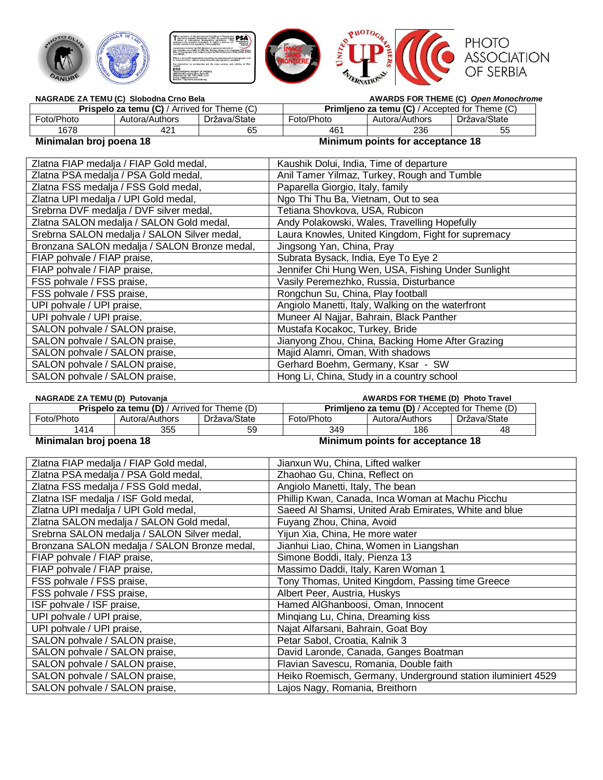

| NAGRADE ZA TEMU (C) Slobodna Crno Bela              |                |              |            |                                                       | <b>AWARDS FOR THEME (C) Open Monochrome</b> |
|-----------------------------------------------------|----------------|--------------|------------|-------------------------------------------------------|---------------------------------------------|
| <b>Prispelo za temu (C)</b> / Arrived for Theme (C) |                |              |            | <b>Primlieno za temu (C)</b> / Accepted for Theme (C) |                                             |
| Foto/Photo                                          | Autora/Authors | Država/State | Foto/Photo | Autora/Authors                                        | Država/State                                |
| 1678                                                | 421            | 65           | 46         | 236                                                   | 55                                          |
| --- -                                               | $\sim$         |              | --- -      |                                                       | $\sim$                                      |

## **Minimalan broj poena 18 Minimum points for acceptance 18**

| Zlatna FIAP medalja / FIAP Gold medal,       | Kaushik Dolui, India, Time of departure            |
|----------------------------------------------|----------------------------------------------------|
| Zlatna PSA medalja / PSA Gold medal,         | Anil Tamer Yilmaz, Turkey, Rough and Tumble        |
| Zlatna FSS medalja / FSS Gold medal,         | Paparella Giorgio, Italy, family                   |
| Zlatna UPI medalja / UPI Gold medal,         | Ngo Thi Thu Ba, Vietnam, Out to sea                |
| Srebrna DVF medalja / DVF silver medal,      | Tetiana Shovkova, USA, Rubicon                     |
| Zlatna SALON medalja / SALON Gold medal,     | Andy Polakowski, Wales, Travelling Hopefully       |
| Srebrna SALON medalja / SALON Silver medal,  | Laura Knowles, United Kingdom, Fight for supremacy |
| Bronzana SALON medalja / SALON Bronze medal, | Jingsong Yan, China, Pray                          |
| FIAP pohvale / FIAP praise,                  | Subrata Bysack, India, Eye To Eye 2                |
| FIAP pohvale / FIAP praise,                  | Jennifer Chi Hung Wen, USA, Fishing Under Sunlight |
| FSS pohvale / FSS praise,                    | Vasily Peremezhko, Russia, Disturbance             |
| FSS pohvale / FSS praise,                    | Rongchun Su, China, Play football                  |
| UPI pohvale / UPI praise,                    | Angiolo Manetti, Italy, Walking on the waterfront  |
| UPI pohvale / UPI praise,                    | Muneer Al Najjar, Bahrain, Black Panther           |
| SALON pohvale / SALON praise,                | Mustafa Kocakoc, Turkey, Bride                     |
| SALON pohvale / SALON praise,                | Jianyong Zhou, China, Backing Home After Grazing   |
| SALON pohvale / SALON praise,                | Majid Alamri, Oman, With shadows                   |
| SALON pohvale / SALON praise,                | Gerhard Boehm, Germany, Ksar - SW                  |
| SALON pohvale / SALON praise,                | Hong Li, China, Study in a country school          |

| NAGRADE ZA TEMU (D) Putovanja                       |                |              |                                                       | <b>AWARDS FOR THEME (D) Photo Travel</b> |              |
|-----------------------------------------------------|----------------|--------------|-------------------------------------------------------|------------------------------------------|--------------|
| <b>Prispelo za temu (D)</b> / Arrived for Theme (D) |                |              | <b>Primlieno za temu (D)</b> / Accepted for Theme (D) |                                          |              |
| Foto/Photo                                          | Autora/Authors | Država/State | Foto/Photo                                            | Autora/Authors                           | Država/State |
| 1414<br>355<br>59                                   |                | 349          | 186                                                   | 48                                       |              |
| Minimalan broj poena 18                             |                |              |                                                       | Minimum points for acceptance 18         |              |

| Zlatna FIAP medalja / FIAP Gold medal,       | Jianxun Wu, China, Lifted walker                             |
|----------------------------------------------|--------------------------------------------------------------|
| Zlatna PSA medalja / PSA Gold medal,         | Zhaohao Gu, China, Reflect on                                |
| Zlatna FSS medalja / FSS Gold medal,         | Angiolo Manetti, Italy, The bean                             |
| Zlatna ISF medalja / ISF Gold medal,         | Phillip Kwan, Canada, Inca Woman at Machu Picchu             |
| Zlatna UPI medalja / UPI Gold medal,         | Saeed Al Shamsi, United Arab Emirates, White and blue        |
| Zlatna SALON medalja / SALON Gold medal,     | Fuyang Zhou, China, Avoid                                    |
| Srebrna SALON medalja / SALON Silver medal,  | Yijun Xia, China, He more water                              |
| Bronzana SALON medalja / SALON Bronze medal, | Jianhui Liao, China, Women in Liangshan                      |
| FIAP pohvale / FIAP praise,                  | Simone Boddi, Italy, Pienza 13                               |
| FIAP pohvale / FIAP praise,                  | Massimo Daddi, Italy, Karen Woman 1                          |
| FSS pohvale / FSS praise,                    | Tony Thomas, United Kingdom, Passing time Greece             |
| FSS pohvale / FSS praise,                    | Albert Peer, Austria, Huskys                                 |
| ISF pohvale / ISF praise,                    | Hamed AlGhanboosi, Oman, Innocent                            |
| UPI pohvale / UPI praise,                    | Mingiang Lu, China, Dreaming kiss                            |
| UPI pohvale / UPI praise,                    | Najat Alfarsani, Bahrain, Goat Boy                           |
| SALON pohvale / SALON praise,                | Petar Sabol, Croatia, Kalnik 3                               |
| SALON pohvale / SALON praise,                | David Laronde, Canada, Ganges Boatman                        |
| SALON pohvale / SALON praise,                | Flavian Savescu, Romania, Double faith                       |
| SALON pohvale / SALON praise,                | Heiko Roemisch, Germany, Underground station iluminiert 4529 |
| SALON pohvale / SALON praise,                | Lajos Nagy, Romania, Breithorn                               |